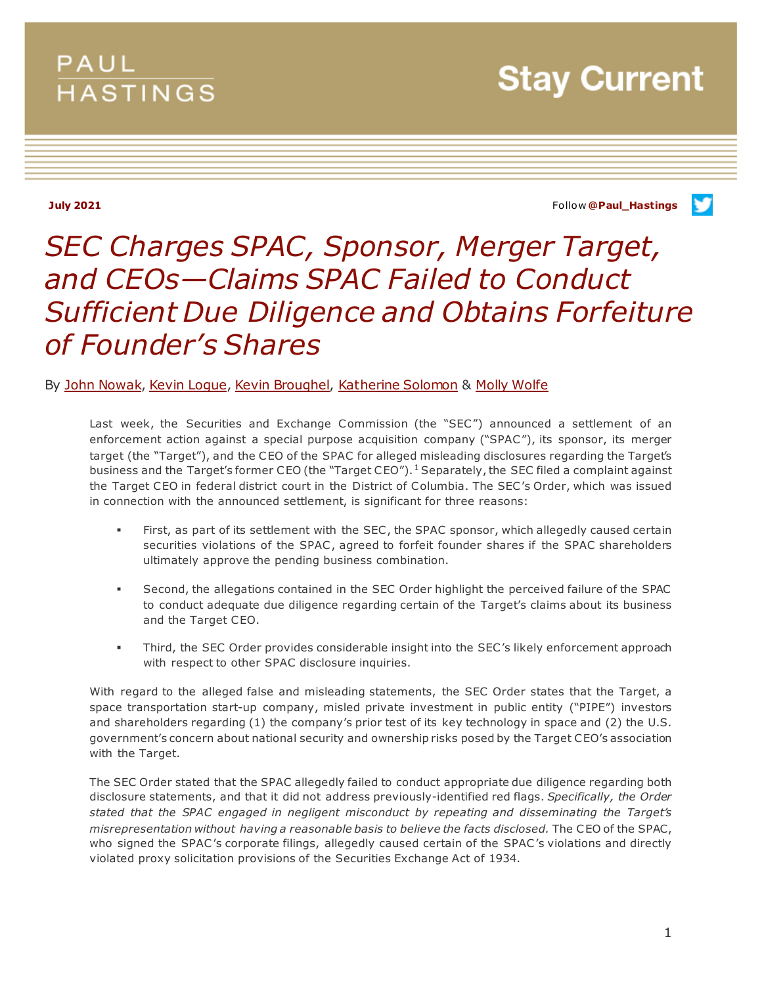## PAUL **HASTINGS**

**Stay Current** 

**July 2021** Follow **[@Paul\\_Hastings](http://twitter.com/Paul_Hastings)**

v

# *SEC Charges SPAC, Sponsor, Merger Target, and CEOs—Claims SPAC Failed to Conduct Sufficient Due Diligence and Obtains Forfeiture of Founder's Shares*

### By [John Nowak,](https://www.paulhastings.com/professionals/johnnowak) [Kevin Logue,](https://www.paulhastings.com/professionals/kevinlogue) [Kevin Broughel,](https://www.paulhastings.com/professionals/kevinbroughel) [Katherine Solomon](https://www.paulhastings.com/professionals/katherinesolomon) & [Molly Wolfe](https://www.paulhastings.com/professionals/mollywolfe)

Last week, the Securities and Exchange Commission (the "SEC") announced a settlement of an enforcement action against a special purpose acquisition company ("SPAC "), its sponsor, its merger target (the "Target"), and the CEO of the SPAC for alleged misleading disclosures regarding the Target's business and the Target's former CEO (the "Target CEO").<sup>[1](#page-4-0)</sup> Separately, the SEC filed a complaint against the Target CEO in federal district court in the District of Columbia. The SEC's Order, which was issued in connection with the announced settlement, is significant for three reasons:

- First, as part of its settlement with the SEC, the SPAC sponsor, which allegedly caused certain securities violations of the SPAC , agreed to forfeit founder shares if the SPAC shareholders ultimately approve the pending business combination.
- Second, the allegations contained in the SEC Order highlight the perceived failure of the SPAC to conduct adequate due diligence regarding certain of the Target's claims about its business and the Target CEO.
- Third, the SEC Order provides considerable insight into the SEC's likely enforcement approach with respect to other SPAC disclosure inquiries.

With regard to the alleged false and misleading statements, the SEC Order states that the Target, a space transportation start-up company, misled private investment in public entity ("PIPE") investors and shareholders regarding (1) the company's prior test of its key technology in space and (2) the U.S. government's concern about national security and ownership risks posed by the Target CEO's association with the Target.

The SEC Order stated that the SPAC allegedly failed to conduct appropriate due diligence regarding both disclosure statements, and that it did not address previously-identified red flags. *Specifically, the Order stated that the SPAC engaged in negligent misconduct by repeating and disseminating the Target's misrepresentation without having a reasonable basis to believe the facts disclosed.* The CEO of the SPAC, who signed the SPAC's corporate filings, allegedly caused certain of the SPAC's violations and directly violated proxy solicitation provisions of the Securities Exchange Act of 1934.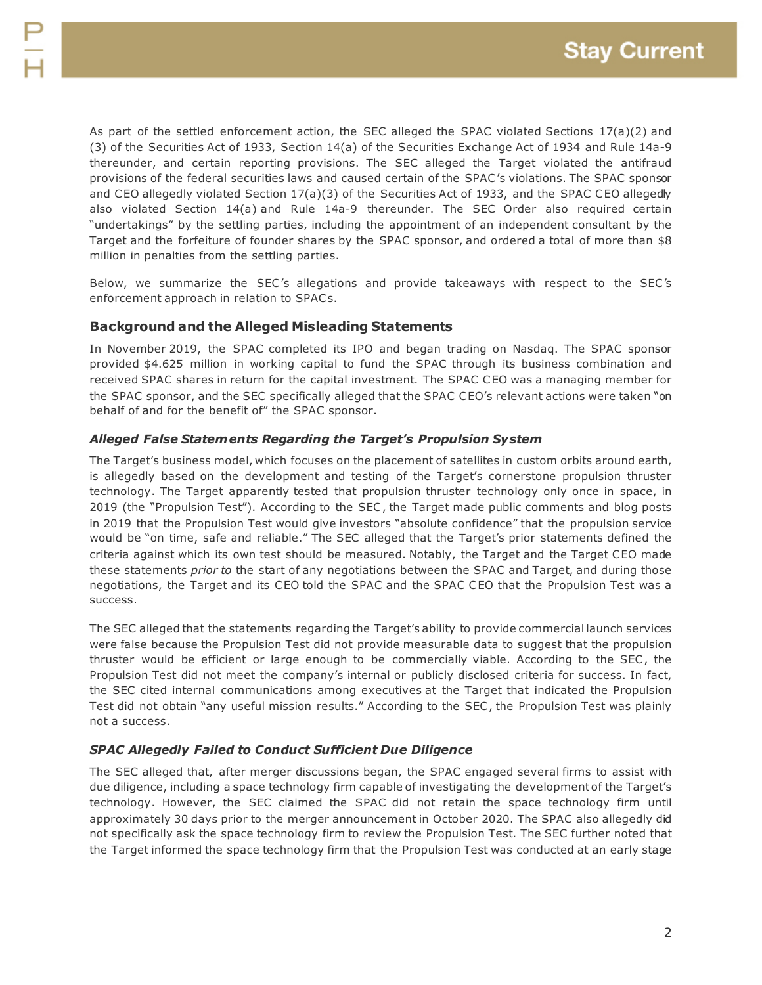As part of the settled enforcement action, the SEC alleged the SPAC violated Sections 17(a)(2) and (3) of the Securities Act of 1933, Section 14(a) of the Securities Exchange Act of 1934 and Rule 14a-9 thereunder, and certain reporting provisions. The SEC alleged the Target violated the antifraud provisions of the federal securities laws and caused certain of the SPAC's violations. The SPAC sponsor and CEO allegedly violated Section 17(a)(3) of the Securities Act of 1933, and the SPAC CEO allegedly also violated Section 14(a) and Rule 14a-9 thereunder. The SEC Order also required certain "undertakings" by the settling parties, including the appointment of an independent consultant by the Target and the forfeiture of founder shares by the SPAC sponsor, and ordered a total of more than \$8 million in penalties from the settling parties.

Below, we summarize the SEC's allegations and provide takeaways with respect to the SEC's enforcement approach in relation to SPACs.

#### **Background and the Alleged Misleading Statements**

In November 2019, the SPAC completed its IPO and began trading on Nasdaq. The SPAC sponsor provided \$4.625 million in working capital to fund the SPAC through its business combination and received SPAC shares in return for the capital investment. The SPAC CEO was a managing member for the SPAC sponsor, and the SEC specifically alleged that the SPAC CEO's relevant actions were taken "on behalf of and for the benefit of" the SPAC sponsor.

#### *Alleged False Statements Regarding the Target's Propulsion System*

The Target's business model, which focuses on the placement of satellites in custom orbits around earth, is allegedly based on the development and testing of the Target's cornerstone propulsion thruster technology. The Target apparently tested that propulsion thruster technology only once in space, in 2019 (the "Propulsion Test"). According to the SEC , the Target made public comments and blog posts in 2019 that the Propulsion Test would give investors "absolute confidence" that the propulsion service would be "on time, safe and reliable." The SEC alleged that the Target's prior statements defined the criteria against which its own test should be measured. Notably, the Target and the Target CEO made these statements *prior to* the start of any negotiations between the SPAC and Target, and during those negotiations, the Target and its CEO told the SPAC and the SPAC CEO that the Propulsion Test was a success.

The SEC alleged that the statements regarding the Target's ability to provide commercial launch services were false because the Propulsion Test did not provide measurable data to suggest that the propulsion thruster would be efficient or large enough to be commercially viable. According to the SEC , the Propulsion Test did not meet the company's internal or publicly disclosed criteria for success. In fact, the SEC cited internal communications among executives at the Target that indicated the Propulsion Test did not obtain "any useful mission results." According to the SEC , the Propulsion Test was plainly not a success.

#### *SPAC Allegedly Failed to Conduct Sufficient Due Diligence*

The SEC alleged that, after merger discussions began, the SPAC engaged several firms to assist with due diligence, including a space technology firm capable of investigating the developmentof the Target's technology. However, the SEC claimed the SPAC did not retain the space technology firm until approximately 30 days prior to the merger announcement in October 2020. The SPAC also allegedly did not specifically ask the space technology firm to review the Propulsion Test. The SEC further noted that the Target informed the space technology firm that the Propulsion Test was conducted at an early stage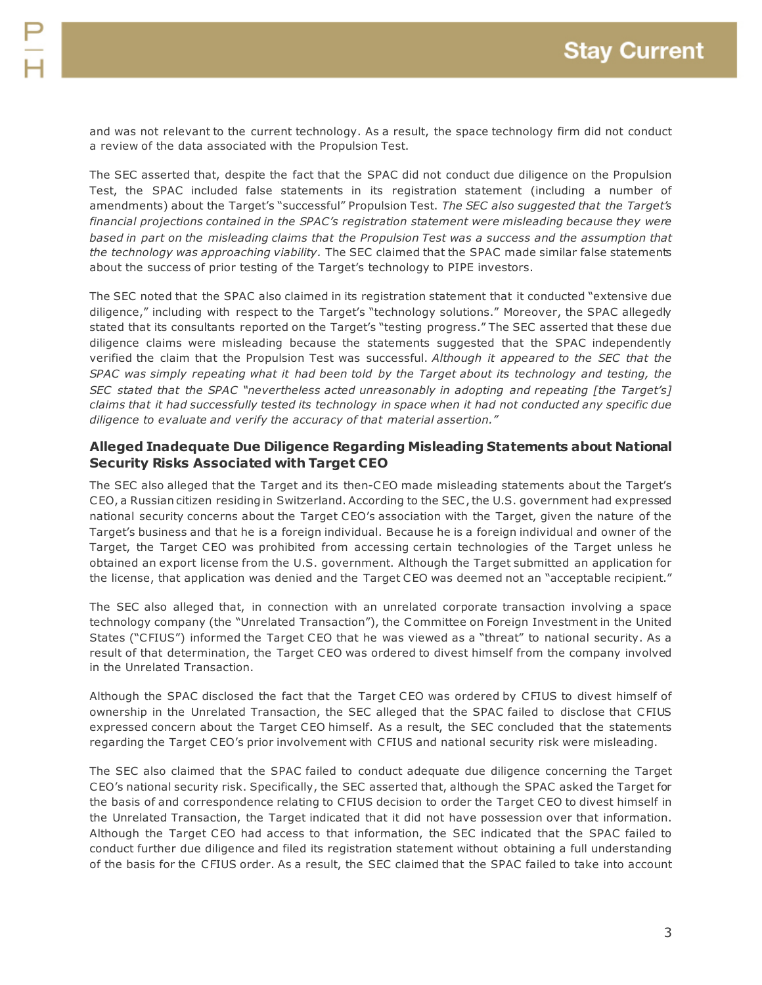and was not relevant to the current technology. As a result, the space technology firm did not conduct a review of the data associated with the Propulsion Test.

The SEC asserted that, despite the fact that the SPAC did not conduct due diligence on the Propulsion Test, the SPAC included false statements in its registration statement (including a number of amendments) about the Target's "successful" Propulsion Test. *The SEC also suggested that the Target's financial projections contained in the SPAC's registration statement were misleading because they were based in part on the misleading claims that the Propulsion Test was a success and the assumption that the technology was approaching viability.* The SEC claimed that the SPAC made similar false statements about the success of prior testing of the Target's technology to PIPE investors.

The SEC noted that the SPAC also claimed in its registration statement that it conducted "extensive due diligence," including with respect to the Target's "technology solutions." Moreover, the SPAC allegedly stated that its consultants reported on the Target's "testing progress." The SEC asserted that these due diligence claims were misleading because the statements suggested that the SPAC independently verified the claim that the Propulsion Test was successful. *Although it appeared to the SEC that the SPAC was simply repeating what it had been told by the Target about its technology and testing, the SEC stated that the SPAC "nevertheless acted unreasonably in adopting and repeating [the Target's] claims that it had successfully tested its technology in space when it had not conducted any specific due diligence to evaluate and verify the accuracy of that material assertion."*

#### **Alleged Inadequate Due Diligence Regarding Misleading Statements about National Security Risks Associated with Target CEO**

The SEC also alleged that the Target and its then-CEO made misleading statements about the Target's CEO, a Russian citizen residing in Switzerland. According to the SEC , the U.S. government had expressed national security concerns about the Target CEO's association with the Target, given the nature of the Target's business and that he is a foreign individual. Because he is a foreign individual and owner of the Target, the Target CEO was prohibited from accessing certain technologies of the Target unless he obtained an export license from the U.S. government. Although the Target submitted an application for the license, that application was denied and the Target CEO was deemed not an "acceptable recipient."

The SEC also alleged that, in connection with an unrelated corporate transaction involving a space technology company (the "Unrelated Transaction"), the Committee on Foreign Investment in the United States ("C FIUS") informed the Target CEO that he was viewed as a "threat" to national security. As a result of that determination, the Target CEO was ordered to divest himself from the company involved in the Unrelated Transaction.

Although the SPAC disclosed the fact that the Target CEO was ordered by CFIUS to divest himself of ownership in the Unrelated Transaction, the SEC alleged that the SPAC failed to disclose that C FIUS expressed concern about the Target CEO himself. As a result, the SEC concluded that the statements regarding the Target CEO's prior involvement with C FIUS and national security risk were misleading.

The SEC also claimed that the SPAC failed to conduct adequate due diligence concerning the Target CEO's national security risk. Specifically, the SEC asserted that, although the SPAC asked the Target for the basis of and correspondence relating to C FIUS decision to order the Target CEO to divest himself in the Unrelated Transaction, the Target indicated that it did not have possession over that information. Although the Target CEO had access to that information, the SEC indicated that the SPAC failed to conduct further due diligence and filed its registration statement without obtaining a full understanding of the basis for the C FIUS order. As a result, the SEC claimed that the SPAC failed to take into account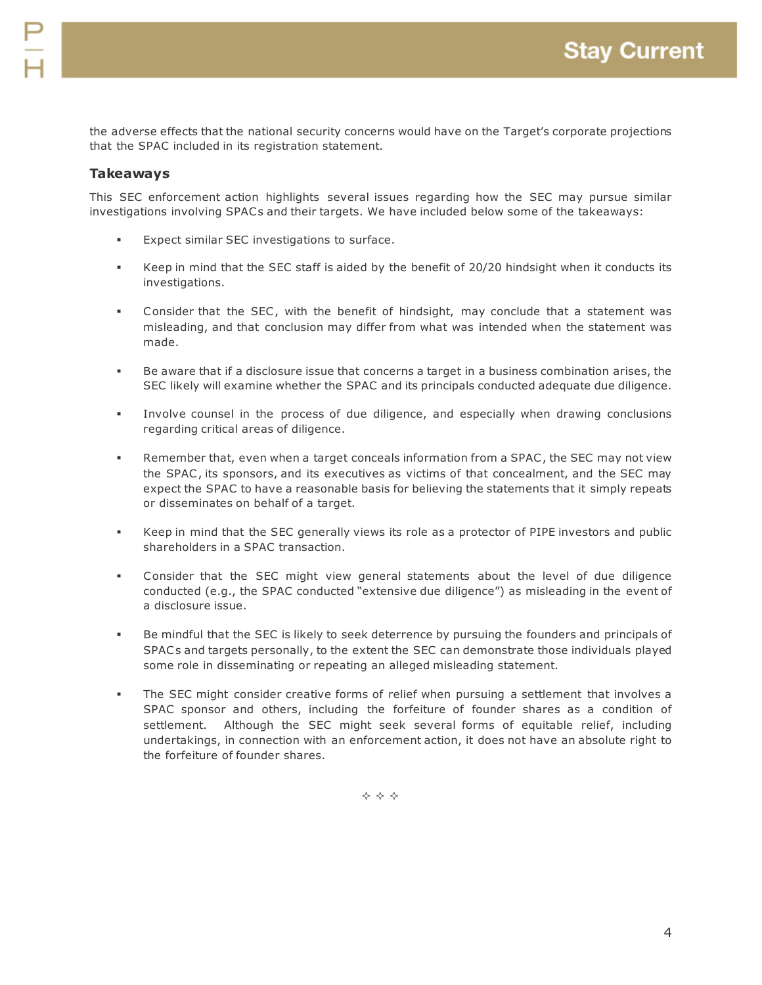the adverse effects that the national security concerns would have on the Target's corporate projections that the SPAC included in its registration statement.

#### **Takeaways**

This SEC enforcement action highlights several issues regarding how the SEC may pursue similar investigations involving SPACs and their targets. We have included below some of the takeaways:

- Expect similar SEC investigations to surface.
- Keep in mind that the SEC staff is aided by the benefit of 20/20 hindsight when it conducts its investigations.
- Consider that the SEC , with the benefit of hindsight, may conclude that a statement was misleading, and that conclusion may differ from what was intended when the statement was made.
- Be aware that if a disclosure issue that concerns a target in a business combination arises, the SEC likely will examine whether the SPAC and its principals conducted adequate due diligence.
- Involve counsel in the process of due diligence, and especially when drawing conclusions regarding critical areas of diligence.
- Remember that, even when a target conceals information from a SPAC , the SEC may not view the SPAC , its sponsors, and its executives as victims of that concealment, and the SEC may expect the SPAC to have a reasonable basis for believing the statements that it simply repeats or disseminates on behalf of a target.
- Keep in mind that the SEC generally views its role as a protector of PIPE investors and public shareholders in a SPAC transaction.
- Consider that the SEC might view general statements about the level of due diligence conducted (e.g., the SPAC conducted "extensive due diligence") as misleading in the event of a disclosure issue.
- Be mindful that the SEC is likely to seek deterrence by pursuing the founders and principals of SPACs and targets personally, to the extent the SEC can demonstrate those individuals played some role in disseminating or repeating an alleged misleading statement.
- The SEC might consider creative forms of relief when pursuing a settlement that involves a SPAC sponsor and others, including the forfeiture of founder shares as a condition of settlement. Although the SEC might seek several forms of equitable relief, including undertakings, in connection with an enforcement action, it does not have an absolute right to the forfeiture of founder shares.

 $\Leftrightarrow$   $\Leftrightarrow$   $\Leftrightarrow$